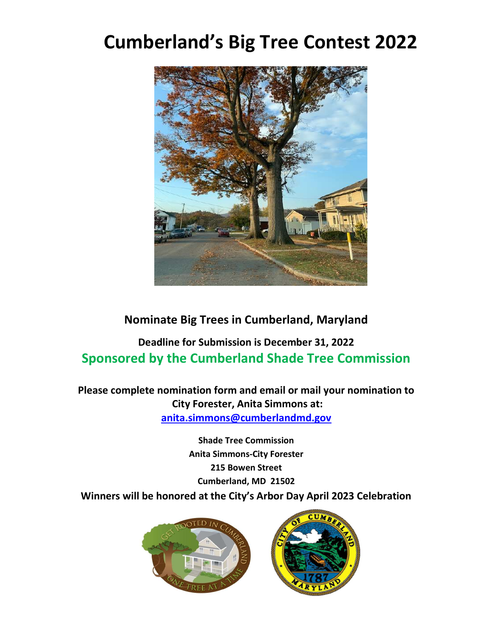## Cumberland's Big Tree Contest 2022



## Nominate Big Trees in Cumberland, Maryland

## Deadline for Submission is December 31, 2022 Sponsored by the Cumberland Shade Tree Commission

Please complete nomination form and email or mail your nomination to City Forester, Anita Simmons at: anita.simmons@cumberlandmd.gov

Shade Tree Commission Anita Simmons-City Forester 215 Bowen Street Cumberland, MD 21502 Winners will be honored at the City's Arbor Day April 2023 Celebration